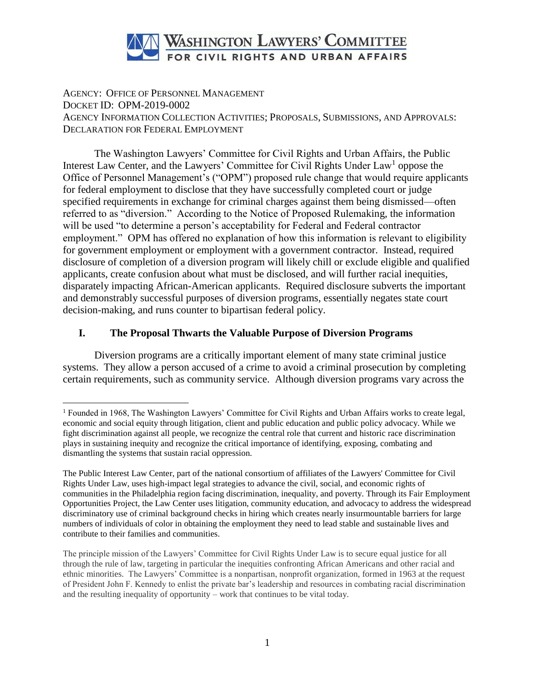

AGENCY: OFFICE OF PERSONNEL MANAGEMENT DOCKET ID: OPM-2019-0002 AGENCY INFORMATION COLLECTION ACTIVITIES; PROPOSALS, SUBMISSIONS, AND APPROVALS: DECLARATION FOR FEDERAL EMPLOYMENT

The Washington Lawyers' Committee for Civil Rights and Urban Affairs, the Public Interest Law Center, and the Lawyers' Committee for Civil Rights Under Law<sup>1</sup> oppose the Office of Personnel Management's ("OPM") proposed rule change that would require applicants for federal employment to disclose that they have successfully completed court or judge specified requirements in exchange for criminal charges against them being dismissed—often referred to as "diversion." According to the Notice of Proposed Rulemaking, the information will be used "to determine a person's acceptability for Federal and Federal contractor employment." OPM has offered no explanation of how this information is relevant to eligibility for government employment or employment with a government contractor. Instead, required disclosure of completion of a diversion program will likely chill or exclude eligible and qualified applicants, create confusion about what must be disclosed, and will further racial inequities, disparately impacting African-American applicants. Required disclosure subverts the important and demonstrably successful purposes of diversion programs, essentially negates state court decision-making, and runs counter to bipartisan federal policy.

## **I. The Proposal Thwarts the Valuable Purpose of Diversion Programs**

 $\overline{a}$ 

Diversion programs are a critically important element of many state criminal justice systems. They allow a person accused of a crime to avoid a criminal prosecution by completing certain requirements, such as community service. Although diversion programs vary across the

<sup>1</sup> Founded in 1968, The Washington Lawyers' Committee for Civil Rights and Urban Affairs works to create legal, economic and social equity through litigation, client and public education and public policy advocacy. While we fight discrimination against all people, we recognize the central role that current and historic race discrimination plays in sustaining inequity and recognize the critical importance of identifying, exposing, combating and dismantling the systems that sustain racial oppression.

The Public Interest Law Center, part of the national consortium of affiliates of the Lawyers' Committee for Civil Rights Under Law, uses high-impact legal strategies to advance the civil, social, and economic rights of communities in the Philadelphia region facing discrimination, inequality, and poverty. Through its Fair Employment Opportunities Project, the Law Center uses litigation, community education, and advocacy to address the widespread discriminatory use of criminal background checks in hiring which creates nearly insurmountable barriers for large numbers of individuals of color in obtaining the employment they need to lead stable and sustainable lives and contribute to their families and communities.

The principle mission of the Lawyers' Committee for Civil Rights Under Law is to secure equal justice for all through the rule of law, targeting in particular the inequities confronting African Americans and other racial and ethnic minorities. The Lawyers' Committee is a nonpartisan, nonprofit organization, formed in 1963 at the request of President John F. Kennedy to enlist the private bar's leadership and resources in combating racial discrimination and the resulting inequality of opportunity – work that continues to be vital today.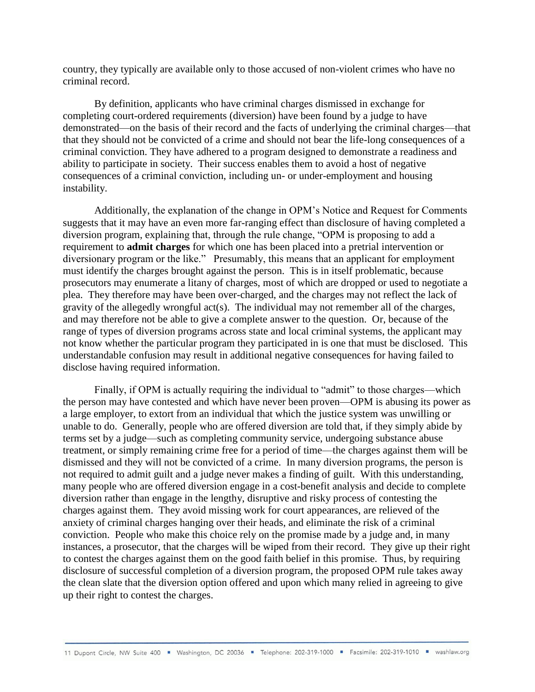country, they typically are available only to those accused of non-violent crimes who have no criminal record.

 By definition, applicants who have criminal charges dismissed in exchange for completing court-ordered requirements (diversion) have been found by a judge to have demonstrated—on the basis of their record and the facts of underlying the criminal charges—that that they should not be convicted of a crime and should not bear the life-long consequences of a criminal conviction. They have adhered to a program designed to demonstrate a readiness and ability to participate in society. Their success enables them to avoid a host of negative consequences of a criminal conviction, including un- or under-employment and housing instability.

Additionally, the explanation of the change in OPM's Notice and Request for Comments suggests that it may have an even more far-ranging effect than disclosure of having completed a diversion program, explaining that, through the rule change, "OPM is proposing to add a requirement to **admit charges** for which one has been placed into a pretrial intervention or diversionary program or the like." Presumably, this means that an applicant for employment must identify the charges brought against the person. This is in itself problematic, because prosecutors may enumerate a litany of charges, most of which are dropped or used to negotiate a plea. They therefore may have been over-charged, and the charges may not reflect the lack of gravity of the allegedly wrongful act(s). The individual may not remember all of the charges, and may therefore not be able to give a complete answer to the question. Or, because of the range of types of diversion programs across state and local criminal systems, the applicant may not know whether the particular program they participated in is one that must be disclosed. This understandable confusion may result in additional negative consequences for having failed to disclose having required information.

Finally, if OPM is actually requiring the individual to "admit" to those charges—which the person may have contested and which have never been proven—OPM is abusing its power as a large employer, to extort from an individual that which the justice system was unwilling or unable to do. Generally, people who are offered diversion are told that, if they simply abide by terms set by a judge—such as completing community service, undergoing substance abuse treatment, or simply remaining crime free for a period of time—the charges against them will be dismissed and they will not be convicted of a crime. In many diversion programs, the person is not required to admit guilt and a judge never makes a finding of guilt. With this understanding, many people who are offered diversion engage in a cost-benefit analysis and decide to complete diversion rather than engage in the lengthy, disruptive and risky process of contesting the charges against them. They avoid missing work for court appearances, are relieved of the anxiety of criminal charges hanging over their heads, and eliminate the risk of a criminal conviction. People who make this choice rely on the promise made by a judge and, in many instances, a prosecutor, that the charges will be wiped from their record. They give up their right to contest the charges against them on the good faith belief in this promise. Thus, by requiring disclosure of successful completion of a diversion program, the proposed OPM rule takes away the clean slate that the diversion option offered and upon which many relied in agreeing to give up their right to contest the charges.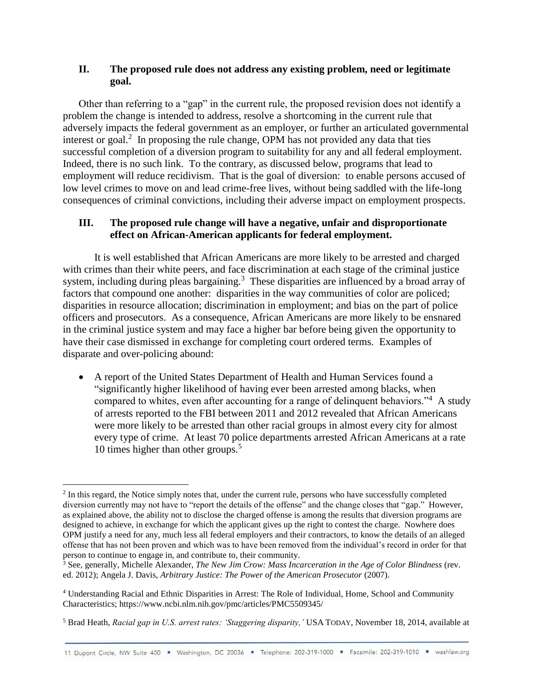## **II. The proposed rule does not address any existing problem, need or legitimate goal.**

Other than referring to a "gap" in the current rule, the proposed revision does not identify a problem the change is intended to address, resolve a shortcoming in the current rule that adversely impacts the federal government as an employer, or further an articulated governmental interest or goal.<sup>2</sup> In proposing the rule change, OPM has not provided any data that ties successful completion of a diversion program to suitability for any and all federal employment. Indeed, there is no such link. To the contrary, as discussed below, programs that lead to employment will reduce recidivism. That is the goal of diversion: to enable persons accused of low level crimes to move on and lead crime-free lives, without being saddled with the life-long consequences of criminal convictions, including their adverse impact on employment prospects.

# **III. The proposed rule change will have a negative, unfair and disproportionate effect on African-American applicants for federal employment.**

It is well established that African Americans are more likely to be arrested and charged with crimes than their white peers, and face discrimination at each stage of the criminal justice system, including during pleas bargaining.<sup>3</sup> These disparities are influenced by a broad array of factors that compound one another: disparities in the way communities of color are policed; disparities in resource allocation; discrimination in employment; and bias on the part of police officers and prosecutors. As a consequence, African Americans are more likely to be ensnared in the criminal justice system and may face a higher bar before being given the opportunity to have their case dismissed in exchange for completing court ordered terms. Examples of disparate and over-policing abound:

 A report of the United States Department of Health and Human Services found a "significantly higher likelihood of having ever been arrested among blacks, when compared to whites, even after accounting for a range of delinquent behaviors."<sup>4</sup> A study of arrests reported to the FBI between 2011 and 2012 revealed that African Americans were more likely to be arrested than other racial groups in almost every city for almost every type of crime. At least 70 police departments arrested African Americans at a rate 10 times higher than other groups.<sup>5</sup>

<sup>&</sup>lt;sup>2</sup> In this regard, the Notice simply notes that, under the current rule, persons who have successfully completed diversion currently may not have to "report the details of the offense" and the change closes that "gap." However, as explained above, the ability not to disclose the charged offense is among the results that diversion programs are designed to achieve, in exchange for which the applicant gives up the right to contest the charge. Nowhere does OPM justify a need for any, much less all federal employers and their contractors, to know the details of an alleged offense that has not been proven and which was to have been removed from the individual's record in order for that person to continue to engage in, and contribute to, their community.

<sup>3</sup> See, generally, Michelle Alexander, *The New Jim Crow: Mass Incarceration in the Age of Color Blindness* (rev. ed. 2012); Angela J. Davis, *Arbitrary Justice: The Power of the American Prosecutor* (2007).

<sup>4</sup> Understanding Racial and Ethnic Disparities in Arrest: The Role of Individual, Home, School and Community Characteristics; https://www.ncbi.nlm.nih.gov/pmc/articles/PMC5509345/

<sup>5</sup> Brad Heath, *Racial gap in U.S. arrest rates: 'Staggering disparity,'* USA TODAY, November 18, 2014, available at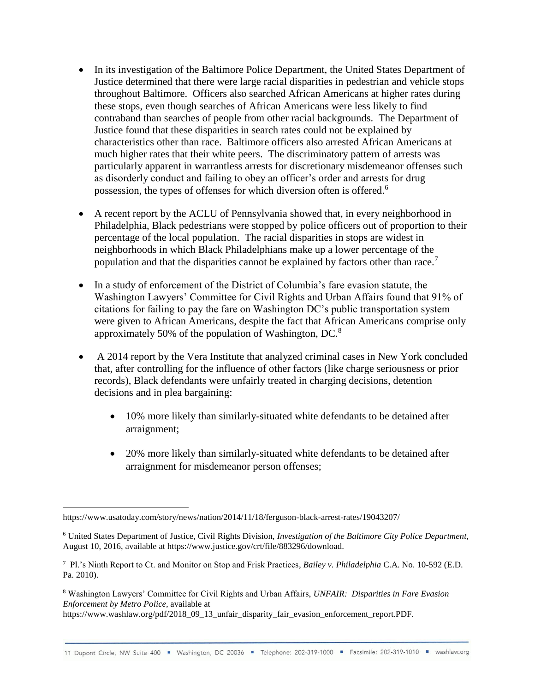- In its investigation of the Baltimore Police Department, the United States Department of Justice determined that there were large racial disparities in pedestrian and vehicle stops throughout Baltimore. Officers also searched African Americans at higher rates during these stops, even though searches of African Americans were less likely to find contraband than searches of people from other racial backgrounds. The Department of Justice found that these disparities in search rates could not be explained by characteristics other than race. Baltimore officers also arrested African Americans at much higher rates that their white peers. The discriminatory pattern of arrests was particularly apparent in warrantless arrests for discretionary misdemeanor offenses such as disorderly conduct and failing to obey an officer's order and arrests for drug possession, the types of offenses for which diversion often is offered.<sup>6</sup>
- A recent report by the ACLU of Pennsylvania showed that, in every neighborhood in Philadelphia, Black pedestrians were stopped by police officers out of proportion to their percentage of the local population. The racial disparities in stops are widest in neighborhoods in which Black Philadelphians make up a lower percentage of the population and that the disparities cannot be explained by factors other than race.<sup>7</sup>
- In a study of enforcement of the District of Columbia's fare evasion statute, the Washington Lawyers' Committee for Civil Rights and Urban Affairs found that 91% of citations for failing to pay the fare on Washington DC's public transportation system were given to African Americans, despite the fact that African Americans comprise only approximately 50% of the population of Washington,  $DC^8$ .
- A 2014 report by the Vera Institute that analyzed criminal cases in New York concluded that, after controlling for the influence of other factors (like charge seriousness or prior records), Black defendants were unfairly treated in charging decisions, detention decisions and in plea bargaining:
	- 10% more likely than similarly-situated white defendants to be detained after arraignment;
	- 20% more likely than similarly-situated white defendants to be detained after arraignment for misdemeanor person offenses;

 $\overline{a}$ 

<sup>8</sup> Washington Lawyers' Committee for Civil Rights and Urban Affairs, *UNFAIR: Disparities in Fare Evasion Enforcement by Metro Police,* available at

https://www.washlaw.org/pdf/2018\_09\_13\_unfair\_disparity\_fair\_evasion\_enforcement\_report.PDF.

https://www.usatoday.com/story/news/nation/2014/11/18/ferguson-black-arrest-rates/19043207/

<sup>6</sup> United States Department of Justice, Civil Rights Division, *Investigation of the Baltimore City Police Department,*  August 10, 2016, available at https://www.justice.gov/crt/file/883296/download.

<sup>7</sup> Pl.'s Ninth Report to Ct. and Monitor on Stop and Frisk Practices*, Bailey v. Philadelphia* C.A. No. 10-592 (E.D. Pa. 2010).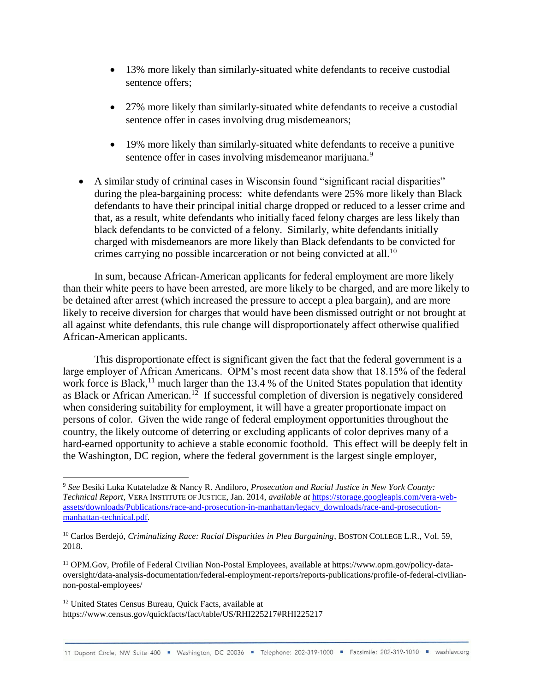- 13% more likely than similarly-situated white defendants to receive custodial sentence offers;
- 27% more likely than similarly-situated white defendants to receive a custodial sentence offer in cases involving drug misdemeanors;
- 19% more likely than similarly-situated white defendants to receive a punitive sentence offer in cases involving misdemeanor marijuana.<sup>9</sup>
- A similar study of criminal cases in Wisconsin found "significant racial disparities" during the plea-bargaining process: white defendants were 25% more likely than Black defendants to have their principal initial charge dropped or reduced to a lesser crime and that, as a result, white defendants who initially faced felony charges are less likely than black defendants to be convicted of a felony. Similarly, white defendants initially charged with misdemeanors are more likely than Black defendants to be convicted for crimes carrying no possible incarceration or not being convicted at all.<sup>10</sup>

In sum, because African-American applicants for federal employment are more likely than their white peers to have been arrested, are more likely to be charged, and are more likely to be detained after arrest (which increased the pressure to accept a plea bargain), and are more likely to receive diversion for charges that would have been dismissed outright or not brought at all against white defendants, this rule change will disproportionately affect otherwise qualified African-American applicants.

This disproportionate effect is significant given the fact that the federal government is a large employer of African Americans. OPM's most recent data show that 18.15% of the federal work force is Black,<sup>11</sup> much larger than the 13.4 % of the United States population that identity as Black or African American.<sup>12</sup> If successful completion of diversion is negatively considered when considering suitability for employment, it will have a greater proportionate impact on persons of color. Given the wide range of federal employment opportunities throughout the country, the likely outcome of deterring or excluding applicants of color deprives many of a hard-earned opportunity to achieve a stable economic foothold. This effect will be deeply felt in the Washington, DC region, where the federal government is the largest single employer,

<sup>12</sup> United States Census Bureau, Quick Facts, available at https://www.census.gov/quickfacts/fact/table/US/RHI225217#RHI225217

<sup>9</sup> *See* Besiki Luka Kutateladze & Nancy R. Andiloro, *Prosecution and Racial Justice in New York County: Technical Report*, VERA INSTITUTE OF JUSTICE, Jan. 2014, *available at* [https://storage.googleapis.com/vera-web](https://storage.googleapis.com/vera-web-assets/downloads/Publications/race-and-prosecution-in-manhattan/legacy_downloads/race-and-prosecution-manhattan-technical.pdf)[assets/downloads/Publications/race-and-prosecution-in-manhattan/legacy\\_downloads/race-and-prosecution](https://storage.googleapis.com/vera-web-assets/downloads/Publications/race-and-prosecution-in-manhattan/legacy_downloads/race-and-prosecution-manhattan-technical.pdf)[manhattan-technical.pdf.](https://storage.googleapis.com/vera-web-assets/downloads/Publications/race-and-prosecution-in-manhattan/legacy_downloads/race-and-prosecution-manhattan-technical.pdf)

<sup>10</sup> Carlos Berdejó, *Criminalizing Race: Racial Disparities in Plea Bargaining*, BOSTON COLLEGE L.R., Vol. 59, 2018.

<sup>11</sup> OPM.Gov, Profile of Federal Civilian Non-Postal Employees, available at https://www.opm.gov/policy-dataoversight/data-analysis-documentation/federal-employment-reports/reports-publications/profile-of-federal-civiliannon-postal-employees/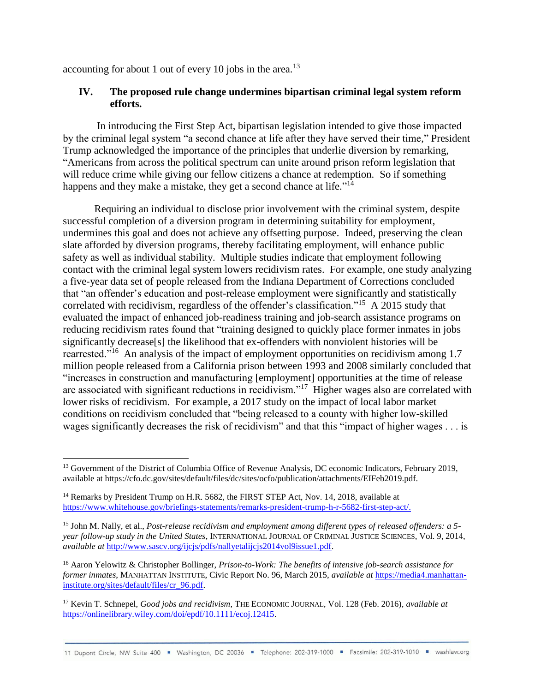accounting for about 1 out of every 10 jobs in the area.<sup>13</sup>

## **IV. The proposed rule change undermines bipartisan criminal legal system reform efforts.**

In introducing the First Step Act, bipartisan legislation intended to give those impacted by the criminal legal system "a second chance at life after they have served their time," President Trump acknowledged the importance of the principles that underlie diversion by remarking, "Americans from across the political spectrum can unite around prison reform legislation that will reduce crime while giving our fellow citizens a chance at redemption. So if something happens and they make a mistake, they get a second chance at life."<sup>14</sup>

Requiring an individual to disclose prior involvement with the criminal system, despite successful completion of a diversion program in determining suitability for employment, undermines this goal and does not achieve any offsetting purpose. Indeed, preserving the clean slate afforded by diversion programs, thereby facilitating employment, will enhance public safety as well as individual stability. Multiple studies indicate that employment following contact with the criminal legal system lowers recidivism rates. For example, one study analyzing a five-year data set of people released from the Indiana Department of Corrections concluded that "an offender's education and post-release employment were significantly and statistically correlated with recidivism, regardless of the offender's classification."<sup>15</sup> A 2015 study that evaluated the impact of enhanced job-readiness training and job-search assistance programs on reducing recidivism rates found that "training designed to quickly place former inmates in jobs significantly decrease[s] the likelihood that ex-offenders with nonviolent histories will be rearrested."<sup>16</sup> An analysis of the impact of employment opportunities on recidivism among 1.7 million people released from a California prison between 1993 and 2008 similarly concluded that "increases in construction and manufacturing [employment] opportunities at the time of release are associated with significant reductions in recidivism."<sup>17</sup> Higher wages also are correlated with lower risks of recidivism. For example, a 2017 study on the impact of local labor market conditions on recidivism concluded that "being released to a county with higher low-skilled wages significantly decreases the risk of recidivism" and that this "impact of higher wages . . . is

<sup>&</sup>lt;sup>13</sup> Government of the District of Columbia Office of Revenue Analysis, DC economic Indicators, February 2019, available at https://cfo.dc.gov/sites/default/files/dc/sites/ocfo/publication/attachments/EIFeb2019.pdf.

<sup>&</sup>lt;sup>14</sup> Remarks by President Trump on H.R. 5682, the FIRST STEP Act, Nov. 14, 2018, available at [https://www.whitehouse.gov/briefings-statements/remarks-president-trump-h-r-5682-first-step-act/.](https://www.whitehouse.gov/briefings-statements/remarks-president-trump-h-r-5682-first-step-act/)

<sup>15</sup> John M. Nally, et al., *Post-release recidivism and employment among different types of released offenders: a 5 year follow-up study in the United States*, INTERNATIONAL JOURNAL OF CRIMINAL JUSTICE SCIENCES, Vol. 9, 2014, *available at* [http://www.sascv.org/ijcjs/pdfs/nallyetalijcjs2014vol9issue1.pdf.](http://www.sascv.org/ijcjs/pdfs/nallyetalijcjs2014vol9issue1.pdf)

<sup>16</sup> Aaron Yelowitz & Christopher Bollinger, *Prison-to-Work: The benefits of intensive job-search assistance for former inmates*, MANHATTAN INSTITUTE, Civic Report No. 96, March 2015, *available at* [https://media4.manhattan](https://media4.manhattan-institute.org/sites/default/files/cr_96.pdf)[institute.org/sites/default/files/cr\\_96.pdf.](https://media4.manhattan-institute.org/sites/default/files/cr_96.pdf)

<sup>17</sup> Kevin T. Schnepel, *Good jobs and recidivism*, THE ECONOMIC JOURNAL, Vol. 128 (Feb. 2016), *available at* [https://onlinelibrary.wiley.com/doi/epdf/10.1111/ecoj.12415.](https://onlinelibrary.wiley.com/doi/epdf/10.1111/ecoj.12415)